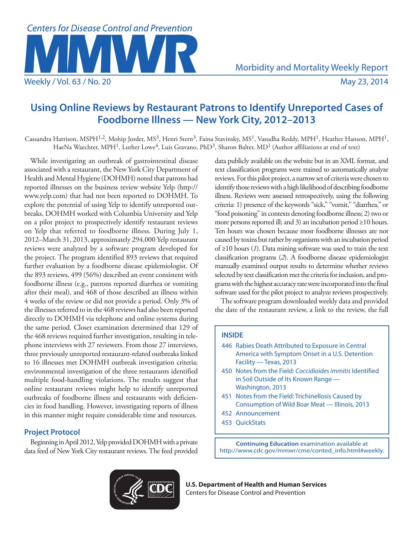

# **Using Online Reviews by Restaurant Patrons to Identify Unreported Cases of Foodborne Illness — New York City, 2012–2013**

Cassandra Harrison, MSPH<sup>1,2</sup>, Mohip Jorder, MS<sup>3</sup>, Henri Stern<sup>3</sup>, Faina Stavinsky, MS<sup>1</sup>, Vasudha Reddy, MPH<sup>1</sup>, Heather Hanson, MPH<sup>1</sup>, HaeNa Waechter, MPH1, Luther Lowe4, Luis Gravano, PhD3, Sharon Balter, MD1 (Author affiliations at end of text)

While investigating an outbreak of gastrointestinal disease associated with a restaurant, the New York City Department of Health and Mental Hygiene (DOHMH) noted that patrons had reported illnesses on the business review website Yelp [\(http://](http://www.yelp.com) [www.yelp.com\)](http://www.yelp.com) that had not been reported to DOHMH. To explore the potential of using Yelp to identify unreported outbreaks, DOHMH worked with Columbia University and Yelp on a pilot project to prospectively identify restaurant reviews on Yelp that referred to foodborne illness. During July 1, 2012–March 31, 2013, approximately 294,000 Yelp restaurant reviews were analyzed by a software program developed for the project. The program identified 893 reviews that required further evaluation by a foodborne disease epidemiologist. Of the 893 reviews, 499 (56%) described an event consistent with foodborne illness (e.g., patrons reported diarrhea or vomiting after their meal), and 468 of those described an illness within 4 weeks of the review or did not provide a period. Only 3% of the illnesses referred to in the 468 reviews had also been reported directly to DOHMH via telephone and online systems during the same period. Closer examination determined that 129 of the 468 reviews required further investigation, resulting in telephone interviews with 27 reviewers. From those 27 interviews, three previously unreported restaurant-related outbreaks linked to 16 illnesses met DOHMH outbreak investigation criteria; environmental investigation of the three restaurants identified multiple food-handling violations. The results suggest that online restaurant reviews might help to identify unreported outbreaks of foodborne illness and restaurants with deficiencies in food handling. However, investigating reports of illness in this manner might require considerable time and resources.

# **Project Protocol**

Beginning in April 2012, Yelp provided DOHMH with a private data feed of New York City restaurant reviews. The feed provided data publicly available on the website but in an XML format, and text classification programs were trained to automatically analyze reviews. For this pilot project, a narrow set of criteria were chosen to identify those reviews with a high likelihood of describing foodborne illness. Reviews were assessed retrospectively, using the following criteria: 1) presence of the keywords "sick," "vomit," "diarrhea," or "food poisoning" in contexts denoting foodborne illness; 2) two or more persons reported ill; and 3) an incubation period ≥10 hours. Ten hours was chosen because most foodborne illnesses are not caused by toxins but rather by organisms with an incubation period of ≥10 hours (*1*). Data mining software was used to train the text classification programs (*2*). A foodborne disease epidemiologist manually examined output results to determine whether reviews selected by text classification met the criteria for inclusion, and programs with the highest accuracy rate were incorporated into the final software used for the pilot project to analyze reviews prospectively.

The software program downloaded weekly data and provided the date of the restaurant review, a link to the review, the full

# **INSIDE**

- 446 [Rabies Death Attributed to Exposure in Central](#page-5-0)  [America with Symptom Onset in a U.S. Detention](#page-5-0)  [Facility — Texas, 2013](#page-5-0)
- 450 [Notes from the Field:](#page-9-0) *Coccidioides immitis* Identified in Soil Outside of Its Known Range — Washington, 2013
- 451 [Notes from the Field:](#page-10-0) Trichinellosis Caused by Consumption of Wild Boar Meat — Illinois, 2013
- 452 [Announcement](#page-11-0)
- 453 [QuickStats](#page-12-0)

**Continuing Education** examination available at [http://www.cdc.gov/mmwr/cme/conted\\_info.html#weekly.](http://www.cdc.gov/mmwr/cme/conted_info.html#weekly)



**U.S. Department of Health and Human Services** Centers for Disease Control and Prevention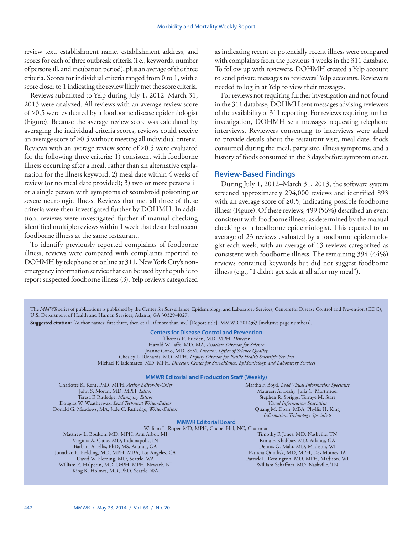review text, establishment name, establishment address, and scores for each of three outbreak criteria (i.e., keywords, number of persons ill, and incubation period), plus an average of the three criteria. Scores for individual criteria ranged from 0 to 1, with a score closer to 1 indicating the review likely met the score criteria.

Reviews submitted to Yelp during July 1, 2012–March 31, 2013 were analyzed. All reviews with an average review score of ≥0.5 were evaluated by a foodborne disease epidemiologist (Figure). Because the average review score was calculated by averaging the individual criteria scores, reviews could receive an average score of ≥0.5 without meeting all individual criteria. Reviews with an average review score of ≥0.5 were evaluated for the following three criteria: 1) consistent with foodborne illness occurring after a meal, rather than an alternative explanation for the illness keyword; 2) meal date within 4 weeks of review (or no meal date provided); 3) two or more persons ill or a single person with symptoms of scombroid poisoning or severe neurologic illness. Reviews that met all three of these criteria were then investigated further by DOHMH. In addition, reviews were investigated further if manual checking identified multiple reviews within 1 week that described recent foodborne illness at the same restaurant.

To identify previously reported complaints of foodborne illness, reviews were compared with complaints reported to DOHMH by telephone or online at 311, New York City's nonemergency information service that can be used by the public to report suspected foodborne illness (*3*). Yelp reviews categorized as indicating recent or potentially recent illness were compared with complaints from the previous 4 weeks in the 311 database. To follow up with reviewers, DOHMH created a Yelp account to send private messages to reviewers' Yelp accounts. Reviewers needed to log in at Yelp to view their messages.

For reviews not requiring further investigation and not found in the 311 database, DOHMH sent messages advising reviewers of the availability of 311 reporting. For reviews requiring further investigation, DOHMH sent messages requesting telephone interviews. Reviewers consenting to interviews were asked to provide details about the restaurant visit, meal date, foods consumed during the meal, party size, illness symptoms, and a history of foods consumed in the 3 days before symptom onset.

## **Review-Based Findings**

During July 1, 2012–March 31, 2013, the software system screened approximately 294,000 reviews and identified 893 with an average score of  $\geq 0.5$ , indicating possible foodborne illness (Figure). Of these reviews, 499 (56%) described an event consistent with foodborne illness, as determined by the manual checking of a foodborne epidemiologist. This equated to an average of 23 reviews evaluated by a foodborne epidemiologist each week, with an average of 13 reviews categorized as consistent with foodborne illness. The remaining 394 (44%) reviews contained keywords but did not suggest foodborne illness (e.g., "I didn't get sick at all after my meal").

The *MMWR* series of publications is published by the Center for Surveillance, Epidemiology, and Laboratory Services, Centers for Disease Control and Prevention (CDC), U.S. Department of Health and Human Services, Atlanta, GA 30329-4027.

**Suggested citation:** [Author names; first three, then et al., if more than six.] [Report title]. MMWR 2014;63:[inclusive page numbers].

**Centers for Disease Control and Prevention**

Thomas R. Frieden, MD, MPH, *Director*

Harold W. Jaffe, MD, MA, *Associate Director for Science*

Joanne Cono, MD, ScM, *Director, Office of Science Quality*  Chesley L. Richards, MD, MPH, *Deputy Director for Public Health Scientific Services*

Michael F. Iademarco, MD, MPH, *Director, Center for Surveillance, Epidemiology, and Laboratory Services*

#### **MMWR Editorial and Production Staff (Weekly)**

Charlotte K. Kent, PhD, MPH, *Acting Editor-in-Chief* John S. Moran, MD, MPH, *Editor* Teresa F. Rutledge, *Managing Editor* Douglas W. Weatherwax, *Lead Technical Writer-Editor* Donald G. Meadows, MA, Jude C. Rutledge, *Writer-Editors* Martha F. Boyd, *Lead Visual Information Specialist* Maureen A. Leahy, Julia C. Martinroe, Stephen R. Spriggs, Terraye M. Starr *Visual Information Specialists* Quang M. Doan, MBA, Phyllis H. King *Information Technology Specialists*

## **MMWR Editorial Board**

William L. Roper, MD, MPH, Chapel Hill, NC, Chairman

Matthew L. Boulton, MD, MPH, Ann Arbor, MI Virginia A. Caine, MD, Indianapolis, IN Barbara A. Ellis, PhD, MS, Atlanta, GA Jonathan E. Fielding, MD, MPH, MBA, Los Angeles, CA David W. Fleming, MD, Seattle, WA William E. Halperin, MD, DrPH, MPH, Newark, NJ King K. Holmes, MD, PhD, Seattle, WA

Timothy F. Jones, MD, Nashville, TN Rima F. Khabbaz, MD, Atlanta, GA Dennis G. Maki, MD, Madison, WI Patricia Quinlisk, MD, MPH, Des Moines, IA Patrick L. Remington, MD, MPH, Madison, WI William Schaffner, MD, Nashville, TN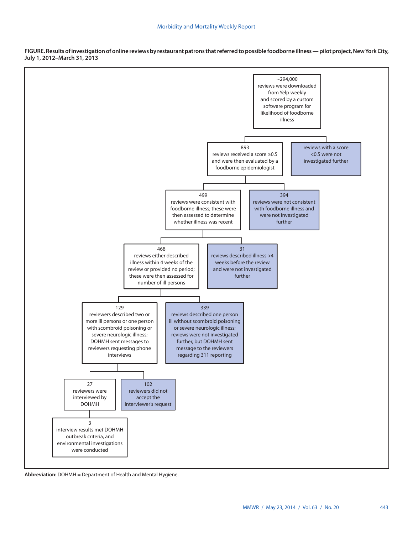

**FIGURE. Results of investigation of online reviews by restaurant patrons that referred to possible foodborne illness — pilot project, New York City, July 1, 2012–March 31, 2013**

**Abbreviation:** DOHMH = Department of Health and Mental Hygiene.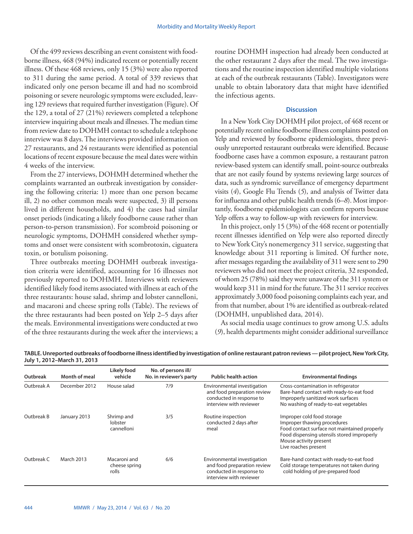Of the 499 reviews describing an event consistent with foodborne illness, 468 (94%) indicated recent or potentially recent illness. Of these 468 reviews, only 15 (3%) were also reported to 311 during the same period. A total of 339 reviews that indicated only one person became ill and had no scombroid poisoning or severe neurologic symptoms were excluded, leaving 129 reviews that required further investigation (Figure). Of the 129, a total of 27 (21%) reviewers completed a telephone interview inquiring about meals and illnesses. The median time from review date to DOHMH contact to schedule a telephone interview was 8 days. The interviews provided information on 27 restaurants, and 24 restaurants were identified as potential locations of recent exposure because the meal dates were within 4 weeks of the interview.

From the 27 interviews, DOHMH determined whether the complaints warranted an outbreak investigation by considering the following criteria: 1) more than one person became ill, 2) no other common meals were suspected, 3) ill persons lived in different households, and 4) the cases had similar onset periods (indicating a likely foodborne cause rather than person-to-person transmission). For scombroid poisoning or neurologic symptoms, DOHMH considered whether symptoms and onset were consistent with scombrotoxin, ciguatera toxin, or botulism poisoning.

Three outbreaks meeting DOHMH outbreak investigation criteria were identified, accounting for 16 illnesses not previously reported to DOHMH. Interviews with reviewers identified likely food items associated with illness at each of the three restaurants: house salad, shrimp and lobster cannelloni, and macaroni and cheese spring rolls (Table). The reviews of the three restaurants had been posted on Yelp 2–5 days after the meals. Environmental investigations were conducted at two of the three restaurants during the week after the interviews; a

routine DOHMH inspection had already been conducted at the other restaurant 2 days after the meal. The two investigations and the routine inspection identified multiple violations at each of the outbreak restaurants (Table). Investigators were unable to obtain laboratory data that might have identified the infectious agents.

### **Discussion**

In a New York City DOHMH pilot project, of 468 recent or potentially recent online foodborne illness complaints posted on Yelp and reviewed by foodborne epidemiologists, three previously unreported restaurant outbreaks were identified. Because foodborne cases have a common exposure, a restaurant patron review-based system can identify small, point-source outbreaks that are not easily found by systems reviewing large sources of data, such as syndromic surveillance of emergency department visits (*4*), Google Flu Trends (*5*), and analysis of Twitter data for influenza and other public health trends (6*–8*). Most importantly, foodborne epidemiologists can confirm reports because Yelp offers a way to follow-up with reviewers for interview.

In this project, only 15 (3%) of the 468 recent or potentially recent illnesses identified on Yelp were also reported directly to New York City's nonemergency 311 service, suggesting that knowledge about 311 reporting is limited. Of further note, after messages regarding the availability of 311 were sent to 290 reviewers who did not meet the project criteria, 32 responded, of whom 25 (78%) said they were unaware of the 311 system or would keep 311 in mind for the future. The 311 service receives approximately 3,000 food poisoning complaints each year, and from that number, about 1% are identified as outbreak-related (DOHMH, unpublished data, 2014).

As social media usage continues to grow among U.S. adults (*9*), health departments might consider additional surveillance

| Outbreak   | <b>Month of meal</b><br>December 2012 | Likely food<br>vehicle<br>House salad  | No. of persons ill/<br>No. in reviewer's party<br>7/9 | <b>Public health action</b>                                                                                       | <b>Environmental findings</b>                                                                                                                                                                             |  |  |
|------------|---------------------------------------|----------------------------------------|-------------------------------------------------------|-------------------------------------------------------------------------------------------------------------------|-----------------------------------------------------------------------------------------------------------------------------------------------------------------------------------------------------------|--|--|
| Outbreak A |                                       |                                        |                                                       | Environmental investigation<br>and food preparation review<br>conducted in response to<br>interview with reviewer | Cross-contamination in refrigerator<br>Bare-hand contact with ready-to-eat food<br>Improperly sanitized work surfaces<br>No washing of ready-to-eat vegetables                                            |  |  |
| Outbreak B | January 2013                          | Shrimp and<br>lobster<br>cannelloni    | 3/5                                                   | Routine inspection<br>conducted 2 days after<br>meal                                                              | Improper cold food storage<br>Improper thawing procedures<br>Food contact surface not maintained properly<br>Food dispensing utensils stored improperly<br>Mouse activity present<br>Live roaches present |  |  |
| Outbreak C | <b>March 2013</b>                     | Macaroni and<br>cheese spring<br>rolls | 6/6                                                   | Environmental investigation<br>and food preparation review<br>conducted in response to<br>interview with reviewer | Bare-hand contact with ready-to-eat food<br>Cold storage temperatures not taken during<br>cold holding of pre-prepared food                                                                               |  |  |

**TABLE. Unreported outbreaks of foodborne illness identified by investigation of online restaurant patron reviews — pilot project, New York City, July 1, 2012–March 31, 2013**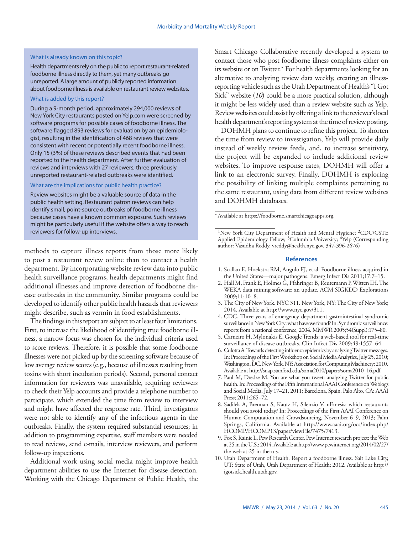#### What is already known on this topic?

Health departments rely on the public to report restaurant-related foodborne illness directly to them, yet many outbreaks go unreported. A large amount of publicly reported information about foodborne illness is available on restaurant review websites.

### What is added by this report?

During a 9-month period, approximately 294,000 reviews of New York City restaurants posted on Yelp.com were screened by software programs for possible cases of foodborne illness. The software flagged 893 reviews for evaluation by an epidemiologist, resulting in the identification of 468 reviews that were consistent with recent or potentially recent foodborne illness. Only 15 (3%) of these reviews described events that had been reported to the health department. After further evaluation of reviews and interviews with 27 reviewers, three previously unreported restaurant-related outbreaks were identified.

#### What are the implications for public health practice?

Review websites might be a valuable source of data in the public health setting. Restaurant patron reviews can help identify small, point-source outbreaks of foodborne illness because cases have a known common exposure. Such reviews might be particularly useful if the website offers a way to reach reviewers for follow-up interviews.

methods to capture illness reports from those more likely to post a restaurant review online than to contact a health department. By incorporating website review data into public health surveillance programs, health departments might find additional illnesses and improve detection of foodborne disease outbreaks in the community. Similar programs could be developed to identify other public health hazards that reviewers might describe, such as vermin in food establishments.

The findings in this report are subject to at least four limitations. First, to increase the likelihood of identifying true foodborne illness, a narrow focus was chosen for the individual criteria used to score reviews. Therefore, it is possible that some foodborne illnesses were not picked up by the screening software because of low average review scores (e.g., because of illnesses resulting from toxins with short incubation periods). Second, personal contact information for reviewers was unavailable, requiring reviewers to check their Yelp accounts and provide a telephone number to participate, which extended the time from review to interview and might have affected the response rate. Third, investigators were not able to identify any of the infectious agents in the outbreaks. Finally, the system required substantial resources; in addition to programming expertise, staff members were needed to read reviews, send e-mails, interview reviewers, and perform follow-up inspections.

Additional work using social media might improve health department abilities to use the Internet for disease detection. Working with the Chicago Department of Public Health, the

Smart Chicago Collaborative recently developed a system to contact those who post foodborne illness complaints either on its website or on Twitter.\* For health departments looking for an alternative to analyzing review data weekly, creating an illnessreporting vehicle such as the Utah Department of Health's "I Got Sick" website (*10*) could be a more practical solution, although it might be less widely used than a review website such as Yelp. Review websites could assist by offering a link to the reviewer's local health department's reporting system at the time of review posting.

DOHMH plans to continue to refine this project. To shorten the time from review to investigation, Yelp will provide daily instead of weekly review feeds, and, to increase sensitivity, the project will be expanded to include additional review websites. To improve response rates, DOHMH will offer a link to an electronic survey. Finally, DOHMH is exploring the possibility of linking multiple complaints pertaining to the same restaurant, using data from different review websites and DOHMH databases.

\*Available at <https://foodborne.smartchicagoapps.org>.

#### **References**

- 1. Scallan E, Hoekstra RM, Angulo FJ, et al. Foodborne illness acquired in the United States—major pathogens. Emerg Infect Dis 2011;17:7–15.
- 2. Hall M, Frank E, Holmes G, Pfahringer B, Reutemann P, Witten IH. The WEKA data mining software: an update. ACM SIGKDD Explorations 2009;11:10–8.
- 3. The City of New York. NYC 311. New York, NY: The City of New York; 2014. Available at<http://www.nyc.gov/311>.
- 4. CDC. Three years of emergency department gastrointestinal syndromic surveillance in New York City: what have we found? In: Syndromic surveillance: reports from a national conference, 2004. MMWR 2005;54(Suppl):175–80.
- 5. Carneiro H, Mylonakis E. Google Trends: a web-based tool for real-time surveillance of disease outbreaks. Clin Infect Dis 2009;49:1557–64.
- 6. Culotta A. Towards detecting influenza epidemics by analyzing Twitter messages. In: Proceedings of the First Workshop on Social Media Analytics, July 25, 2010; Washington, DC. New York, NY: Association for Computing Machinery; 2010. Available at [http://snap.stanford.edu/soma2010/papers/soma2010\\_16.pdf.](http://snap.stanford.edu/soma2010/papers/soma2010_16.pdf)
- 7. Paul M, Dredze M. You are what you tweet: analyzing Twitter for public health. In: Proceedings of the Fifth International AAAI Conference on Weblogs and Social Media, July 17–21, 2011; Barcelona, Spain. Palo Alto, CA: AAAI Press; 2011:265–72.
- 8. Sadilek A, Brennan S, Kautz H, Silenzio V. nEmesis: which restaurants should you avoid today? In: Proceedings of the First AAAI Conference on Human Computation and Crowdsourcing, November 6–9, 2013; Palm Springs, California. Available at [http://www.aaai.org/ocs/index.php/](http://www.aaai.org/ocs/index.php/HCOMP/HCOMP13/paper/viewFile/7475/7413) [HCOMP/HCOMP13/paper/viewFile/7475/7413](http://www.aaai.org/ocs/index.php/HCOMP/HCOMP13/paper/viewFile/7475/7413).
- 9. Fox S, Rainie L, Pew Research Center. Pew Internet research project: the Web at 25 in the U.S.; 2014. Available at [http://www.pewinternet.org/2014/02/27/](http://www.pewinternet.org/2014/02/27/the-web-at-25-in-the-u-s) [the-web-at-25-in-the-u-s.](http://www.pewinternet.org/2014/02/27/the-web-at-25-in-the-u-s)
- 10. Utah Department of Health. Report a foodborne illness. Salt Lake City, UT: State of Utah, Utah Department of Health; 2012. Available at [http://](http://igotsick.health.utah.gov) [igotsick.health.utah.gov.](http://igotsick.health.utah.gov)

<sup>&</sup>lt;sup>1</sup>New York City Department of Health and Mental Hygiene; <sup>2</sup>CDC/CSTE Applied Epidemiology Fellow; <sup>3</sup>Columbia University; <sup>4</sup>Yelp (Corresponding author: Vasudha Reddy, [vreddy@health.nyc.gov,](mailto:vreddy@health.nyc.gov) 347-396-2676)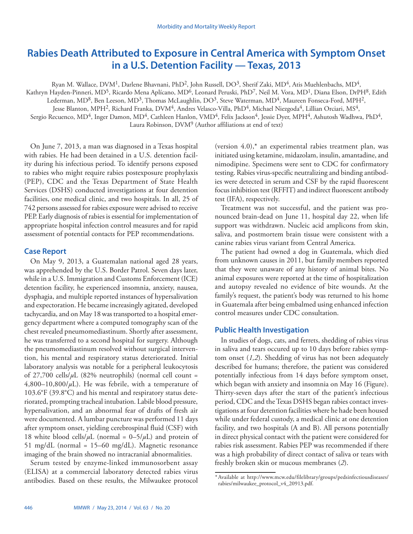# <span id="page-5-0"></span>**Rabies Death Attributed to Exposure in Central America with Symptom Onset in a U.S. Detention Facility — Texas, 2013**

Ryan M. Wallace, DVM<sup>1</sup>, Darlene Bhavnani, PhD<sup>2</sup>, John Russell, DO<sup>3</sup>, Sherif Zaki, MD<sup>4</sup>, Atis Muehlenbachs, MD<sup>4</sup>,

Kathryn Hayden-Pinneri, MD<sup>5</sup>, Ricardo Mena Aplícano, MD<sup>6</sup>, Leonard Peruski, PhD<sup>7</sup>, Neil M. Vora, MD<sup>1</sup>, Diana Elson, DrPH<sup>8</sup>, Edith

Lederman, MD<sup>8</sup>, Ben Leeson, MD<sup>3</sup>, Thomas McLaughlin, DO<sup>3</sup>, Steve Waterman, MD<sup>4</sup>, Maureen Fonseca-Ford, MPH<sup>2</sup>,

Jesse Blanton, MPH<sup>2</sup>, Richard Franka, DVM<sup>4</sup>, Andres Velasco-Villa, PhD<sup>4</sup>, Michael Niezgoda<sup>4</sup>, Lillian Orciari, MS<sup>4</sup>,

Sergio Recuenco, MD<sup>4</sup>, Inger Damon, MD<sup>4</sup>, Cathleen Hanlon, VMD<sup>4</sup>, Felix Jackson<sup>4</sup>, Jessie Dyer, MPH<sup>4</sup>, Ashutosh Wadhwa, PhD<sup>4</sup>, Laura Robinson, DVM9 (Author affiliations at end of text)

On June 7, 2013, a man was diagnosed in a Texas hospital with rabies. He had been detained in a U.S. detention facility during his infectious period. To identify persons exposed to rabies who might require rabies postexposure prophylaxis (PEP), CDC and the Texas Department of State Health Services (DSHS) conducted investigations at four detention facilities, one medical clinic, and two hospitals. In all, 25 of 742 persons assessed for rabies exposure were advised to receive PEP. Early diagnosis of rabies is essential for implementation of appropriate hospital infection control measures and for rapid assessment of potential contacts for PEP recommendations.

## **Case Report**

On May 9, 2013, a Guatemalan national aged 28 years, was apprehended by the U.S. Border Patrol. Seven days later, while in a U.S. Immigration and Customs Enforcement (ICE) detention facility, he experienced insomnia, anxiety, nausea, dysphagia, and multiple reported instances of hypersalivation and expectoration. He became increasingly agitated, developed tachycardia, and on May 18 was transported to a hospital emergency department where a computed tomography scan of the chest revealed pneumomediastinum. Shortly after assessment, he was transferred to a second hospital for surgery. Although the pneumomediastinum resolved without surgical intervention, his mental and respiratory status deteriorated. Initial laboratory analysis was notable for a peripheral leukocytosis of  $27,700$  cells/ $\mu$ L (82% neutrophils) (normal cell count = 4,800–10,800/ $\mu$ L). He was febrile, with a temperature of 103.6°F (39.8°C) and his mental and respiratory status deteriorated, prompting tracheal intubation. Labile blood pressure, hypersalivation, and an abnormal fear of drafts of fresh air were documented. A lumbar puncture was performed 11 days after symptom onset, yielding cerebrospinal fluid (CSF) with 18 white blood cells/ $\mu$ L (normal = 0–5/ $\mu$ L) and protein of 51 mg/dL (normal = 15–60 mg/dL). Magnetic resonance imaging of the brain showed no intracranial abnormalities.

Serum tested by enzyme-linked immunosorbent assay (ELISA) at a commercial laboratory detected rabies virus antibodies. Based on these results, the Milwaukee protocol (version 4.0),\* an experimental rabies treatment plan, was initiated using ketamine, midazolam, insulin, amantadine, and nimodipine. Specimens were sent to CDC for confirmatory testing. Rabies virus-specific neutralizing and binding antibodies were detected in serum and CSF by the rapid fluorescent focus inhibition test (RFFIT) and indirect fluorescent antibody test (IFA), respectively.

Treatment was not successful, and the patient was pronounced brain-dead on June 11, hospital day 22, when life support was withdrawn. Nucleic acid amplicons from skin, saliva, and postmortem brain tissue were consistent with a canine rabies virus variant from Central America.

The patient had owned a dog in Guatemala, which died from unknown causes in 2011, but family members reported that they were unaware of any history of animal bites. No animal exposures were reported at the time of hospitalization and autopsy revealed no evidence of bite wounds. At the family's request, the patient's body was returned to his home in Guatemala after being embalmed using enhanced infection control measures under CDC consultation.

# **Public Health Investigation**

In studies of dogs, cats, and ferrets, shedding of rabies virus in saliva and tears occured up to 10 days before rabies symptom onset (*1,2*). Shedding of virus has not been adequately described for humans; therefore, the patient was considered potentially infectious from 14 days before symptom onset, which began with anxiety and insomnia on May 16 (Figure). Thirty-seven days after the start of the patient's infectious period, CDC and the Texas DSHS began rabies contact investigations at four detention facilities where he hade been housed while under federal custody, a medical clinic at one detention facility, and two hospitals (A and B). All persons potentially in direct physical contact with the patient were considered for rabies risk assessment. Rabies PEP was recommended if there was a high probability of direct contact of saliva or tears with freshly broken skin or mucous membranes (*2*).

<sup>\*</sup>Available at [http://www.mcw.edu/filelibrary/groups/pedsinfectiousdiseases/](http://www.mcw.edu/filelibrary/groups/pedsinfectiousdiseases/rabies/milwaukee_protocol_v4_20913.pdf) [rabies/milwaukee\\_protocol\\_v4\\_20913.pdf.](http://www.mcw.edu/filelibrary/groups/pedsinfectiousdiseases/rabies/milwaukee_protocol_v4_20913.pdf)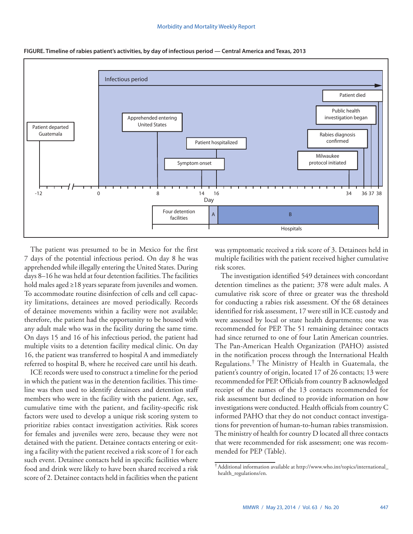

**FIGURE. Timeline of rabies patient's activities, by day of infectious period — Central America and Texas, 2013**

The patient was presumed to be in Mexico for the first 7 days of the potential infectious period. On day 8 he was apprehended while illegally entering the United States. During days 8–16 he was held at four detention facilities. The facilities hold males aged ≥18 years separate from juveniles and women. To accommodate routine disinfection of cells and cell capacity limitations, detainees are moved periodically. Records of detainee movements within a facility were not available; therefore, the patient had the opportunity to be housed with any adult male who was in the facility during the same time. On days 15 and 16 of his infectious period, the patient had multiple visits to a detention facility medical clinic. On day 16, the patient was transferred to hospital A and immediately referred to hospital B, where he received care until his death.

ICE records were used to construct a timeline for the period in which the patient was in the detention facilities. This timeline was then used to identify detainees and detention staff members who were in the facility with the patient. Age, sex, cumulative time with the patient, and facility-specific risk factors were used to develop a unique risk scoring system to prioritize rabies contact investigation activities. Risk scores for females and juveniles were zero, because they were not detained with the patient. Detainee contacts entering or exiting a facility with the patient received a risk score of 1 for each such event. Detainee contacts held in specific facilities where food and drink were likely to have been shared received a risk score of 2. Detainee contacts held in facilities when the patient

was symptomatic received a risk score of 3. Detainees held in multiple facilities with the patient received higher cumulative risk scores.

The investigation identified 549 detainees with concordant detention timelines as the patient; 378 were adult males. A cumulative risk score of three or greater was the threshold for conducting a rabies risk assessment. Of the 68 detainees identified for risk assessment, 17 were still in ICE custody and were assessed by local or state health departments; one was recommended for PEP. The 51 remaining detainee contacts had since returned to one of four Latin American countries. The Pan-American Health Organization (PAHO) assisted in the notification process through the International Health Regulations.† The Ministry of Health in Guatemala, the patient's country of origin, located 17 of 26 contacts; 13 were recommended for PEP. Officials from country B acknowledged receipt of the names of the 13 contacts recommended for risk assessment but declined to provide information on how investigations were conducted. Health officials from country C informed PAHO that they do not conduct contact investigations for prevention of human-to-human rabies transmission. The ministry of health for country D located all three contacts that were recommended for risk assessment; one was recommended for PEP (Table).

<sup>†</sup>Additional information available at [http://www.who.int/topics/international\\_](http://www.who.int/topics/international_health_regulations/en) [health\\_regulations/en](http://www.who.int/topics/international_health_regulations/en).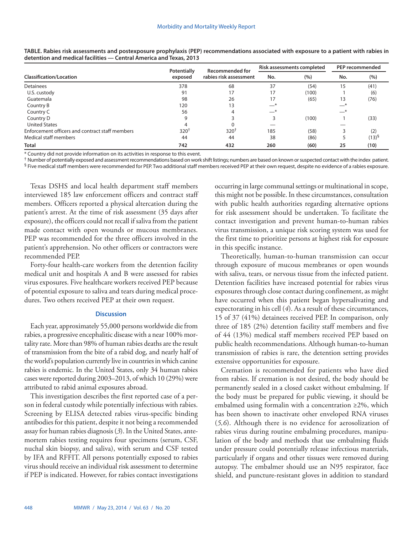|                                                 | Potentially | <b>Recommended for</b><br>rabies risk assessment | Risk assessments completed |       | PEP recommended |            |
|-------------------------------------------------|-------------|--------------------------------------------------|----------------------------|-------|-----------------|------------|
| <b>Classification/Location</b>                  | exposed     |                                                  | No.                        | (%)   | No.             | (%)        |
| <b>Detainees</b>                                | 378         | 68                                               | 37                         | (54)  | 15              | (41)       |
| U.S. custody                                    | 91          | 17                                               | 17                         | (100) |                 | (6)        |
| Guatemala                                       | 98          | 26                                               | 17                         | (65)  | 13              | (76)       |
| Country B                                       | 120         | 13                                               | —*                         |       | —*              |            |
| Country C                                       | 56          | 4                                                | —*                         |       | —*              |            |
| Country D                                       |             |                                                  |                            | (100) |                 | (33)       |
| <b>United States</b>                            |             |                                                  |                            |       |                 |            |
| Enforcement officers and contract staff members | $320^{+}$   | $320^{+}$                                        | 185                        | (58)  |                 | (2)        |
| <b>Medical staff members</b>                    | 44          | 44                                               | 38                         | (86)  |                 | $(13)^{5}$ |
| <b>Total</b>                                    | 742         | 432                                              | 260                        | (60)  | 25              | (10)       |

**TABLE. Rabies risk assessments and postexposure prophylaxis (PEP) recommendations associated with exposure to a patient with rabies in detention and medical facilities — Central America and Texas, 2013**

\* Country did not provide information on its activities in response to this event.

† Number of potentially exposed and assessment recommendations based on work shift listings; numbers are based on known or suspected contact with the index patient. § Five medical staff members were recommended for PEP. Two additional staff members received PEP at their own request, despite no evidence of a rabies exposure.

Texas DSHS and local health department staff members interviewed 185 law enforcement officers and contract staff members. Officers reported a physical altercation during the patient's arrest. At the time of risk assessment (35 days after exposure), the officers could not recall if saliva from the patient made contact with open wounds or mucous membranes. PEP was recommended for the three officers involved in the patient's apprehension. No other officers or contractors were recommended PEP.

Forty-four health-care workers from the detention facility medical unit and hospitals A and B were assessed for rabies virus exposures. Five healthcare workers received PEP because of potential exposure to saliva and tears during medical procedures. Two others received PEP at their own request.

#### **Discussion**

Each year, approximately 55,000 persons worldwide die from rabies, a progressive encephalitic disease with a near 100% mortality rate. More than 98% of human rabies deaths are the result of transmission from the bite of a rabid dog, and nearly half of the world's population currently live in countries in which canine rabies is endemic. In the United States, only 34 human rabies cases were reported during 2003–2013, of which 10 (29%) were attributed to rabid animal exposures abroad.

This investigation describes the first reported case of a person in federal custody while potentially infectious with rabies. Screening by ELISA detected rabies virus-specific binding antibodies for this patient, despite it not being a recommended assay for human rabies diagnosis (*3*). In the United States, antemortem rabies testing requires four specimens (serum, CSF, nuchal skin biopsy, and saliva), with serum and CSF tested by IFA and RFFIT. All persons potentially exposed to rabies virus should receive an individual risk assessment to determine if PEP is indicated. However, for rabies contact investigations occurring in large communal settings or multinational in scope, this might not be possible. In these circumstances, consultation with public health authorities regarding alternative options for risk assessment should be undertaken. To facilitate the contact investigation and prevent human-to-human rabies virus transmission, a unique risk scoring system was used for the first time to prioritize persons at highest risk for exposure in this specific instance.

Theoretically, human-to-human transmission can occur through exposure of mucous membranes or open wounds with saliva, tears, or nervous tissue from the infected patient. Detention facilities have increased potential for rabies virus exposures through close contact during confinement, as might have occurred when this patient began hypersalivating and expectorating in his cell (*4*). As a result of these circumstances, 15 of 37 (41%) detainees received PEP. In comparison, only three of 185 (2%) detention facility staff members and five of 44 (13%) medical staff members received PEP based on public health recommendations. Although human-to-human transmission of rabies is rare, the detention setting provides extensive opportunities for exposure.

Cremation is recommended for patients who have died from rabies. If cremation is not desired, the body should be permanently sealed in a closed casket without embalming. If the body must be prepared for public viewing, it should be embalmed using formalin with a concentration ≥2%, which has been shown to inactivate other enveloped RNA viruses (*5,6*). Although there is no evidence for aerosolization of rabies virus during routine embalming procedures, manipulation of the body and methods that use embalming fluids under pressure could potentially release infectious materials, particularly if organs and other tissues were removed during autopsy. The embalmer should use an N95 respirator, face shield, and puncture-resistant gloves in addition to standard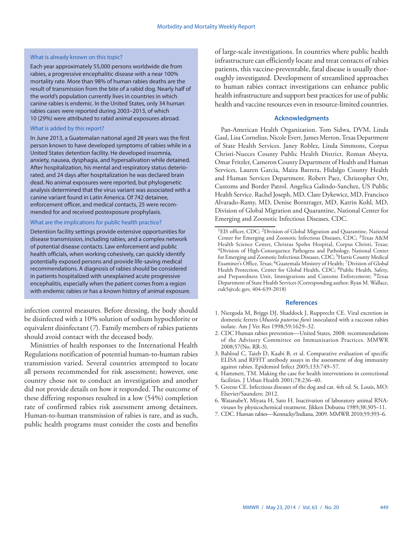#### What is already known on this topic?

Each year approximately 55,000 persons worldwide die from rabies, a progressive encephalitic disease with a near 100% mortality rate. More than 98% of human rabies deaths are the result of transmission from the bite of a rabid dog. Nearly half of the world's population currently lives in countries in which canine rabies is endemic. In the United States, only 34 human rabies cases were reported during 2003–2013, of which 10 (29%) were attributed to rabid animal exposures abroad.

#### What is added by this report?

In June 2013, a Guatemalan national aged 28 years was the first person known to have developed symptoms of rabies while in a United States detention facility. He developed insomnia, anxiety, nausea, dysphagia, and hypersalivation while detained. After hospitalization, his mental and respiratory status deteriorated, and 24 days after hospitalization he was declared brain dead. No animal exposures were reported, but phylogenetic analysis determined that the virus variant was associated with a canine variant found in Latin America. Of 742 detainee, enforcement officer, and medical contacts, 25 were recommended for and received postexposure prophylaxis.

## What are the implications for public health practice?

Detention facility settings provide extensive opportunities for disease transmission, including rabies, and a complex network of potential disease contacts. Law enforcement and public health officials, when working cohesively, can quickly identify potentially exposed persons and provide life-saving medical recommendations. A diagnosis of rabies should be considered in patients hospitalized with unexplained acute progressive encephalitis, especially when the patient comes from a region with endemic rabies or has a known history of animal exposure.

infection control measures. Before dressing, the body should be disinfected with a 10% solution of sodium hypochlorite or equivalent disinfectant (*7*). Family members of rabies patients should avoid contact with the deceased body.

Ministries of health responses to the International Health Regulations notification of potential human-to-human rabies transmission varied. Several countries attempted to locate all persons recommended for risk assessment; however, one country chose not to conduct an investigation and another did not provide details on how it responded. The outcome of these differing responses resulted in a low (54%) completion rate of confirmed rabies risk assessment among detainees. Human-to-human transmission of rabies is rare, and as such, public health programs must consider the costs and benefits

of large-scale investigations. In countries where public health infrastructure can efficiently locate and treat contacts of rabies patients, this vaccine-preventable, fatal disease is usually thoroughly investigated. Development of streamlined approaches to human rabies contact investigations can enhance public health infrastructure and support best practices for use of public health and vaccine resources even in resource-limited countries.

#### **Acknowledgments**

Pan-American Health Organization. Tom Sidwa, DVM, Linda Gaul, Lisa Cornelius, Nicole Evert, James Merton, Texas Department of State Health Services. Janey Roblez, Linda Simmons, Corpus Christi-Nueces County Public Health District. Roman Abeyta, Omar Fritzler, Cameron County Department of Health and Human Services, Lauren Garcia, Maira Barrera, Hidalgo County Health and Human Services Department. Robert Paez, Christopher Ott, Customs and Border Patrol. Angelica Galindo-Sanchez, US Public Health Service. Rachel Joseph, MD, Clare Dykewicz, MD, Francisco Alvarado-Ramy, MD, Denise Borntrager, MD, Katrin Kohl, MD, Division of Global Migration and Quarantine, National Center for Emerging and Zoonotic Infectious Diseases, CDC.

#### **References**

- 1. Niezgoda M, Briggs DJ, Shaddock J, Rupprecht CE. Viral excretion in domestic ferrets (*Mustela putorius furo*) inoculated with a raccoon rabies isolate. Am J Vet Res 1998;59:1629–32.
- 2. CDC Human rabies prevention—United States, 2008: recommendations of the Advisory Committee on Immunization Practices. MMWR 2008;57(No. RR-3).
- 3. Bahloul C, Taieb D, Kaabi B, et al. Comparative evaluation of specific ELISA and RFFIT antibody assays in the assessment of dog immunity against rabies. Epidemiol Infect 2005;133:749–57.
- 4. Hammett, TM. Making the case for health interventions in correctional facilities. J Urban Health 2001;78:236–40.
- 5. Greene CE. Infectious diseases of the dog and cat. 4th ed. St. Louis, MO: Elsevier/Saunders; 2012.
- 6. WatanabeY, Miyata H, Sato H. Inactivation of laboratory animal RNAviruses by physicochemical treatment. Jikken Dobutsu 1989;38:305–11.
- 7. CDC. Human rabies—Kentucky/Indiana, 2009. MMWR 2010;59:393–6.

<sup>&</sup>lt;sup>1</sup>EIS officer, CDC; <sup>2</sup>Division of Global Migration and Quarantine, National Center for Emerging and Zoonotic Infectious Diseases, CDC; <sup>3</sup>Texas A&M Health Science Center, Christus Spohn Hospital, Corpus Christi, Texas; 4Division of High-Consequence Pathogens and Pathology, National Center for Emerging and Zoonotic Infectious Diseases, CDC;<sup>5</sup>Harris County Medical Examiner's Office, Texas; 6Guatemala Ministry of Health; 7Division of Global Health Protection, Center for Global Health, CDC; <sup>8</sup>Public Health, Safety, and Preparedness Unit, Immigrations and Customs Enforcement; <sup>9</sup>Texas Department of State Health Services (Corresponding author: Ryan M. Wallace, [euk5@cdc.gov,](mailto:euk5@cdc.gov) 404-639-2018)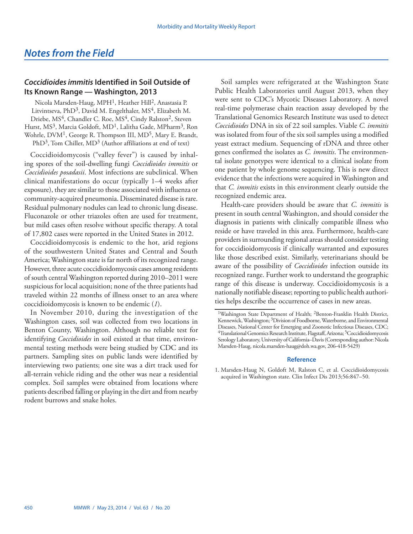# <span id="page-9-0"></span>*Coccidioides immitis* **Identified in Soil Outside of Its Known Range — Washington, 2013**

Nicola Marsden-Haug, MPH<sup>1</sup>, Heather Hill<sup>2</sup>, Anastasia P. Litvintseva, PhD<sup>3</sup>, David M. Engelthaler, MS<sup>4</sup>, Elizabeth M. Driebe, MS<sup>4</sup>, Chandler C. Roe, MS<sup>4</sup>, Cindy Ralston<sup>2</sup>, Steven Hurst, MS<sup>3</sup>, Marcia Goldoft, MD<sup>1</sup>, Lalitha Gade, MPharm<sup>3</sup>, Ron Wohrle, DVM<sup>1</sup>, George R. Thompson III, MD<sup>5</sup>, Mary E. Brandt, PhD<sup>3</sup>, Tom Chiller, MD<sup>3</sup> (Author affiliations at end of text)

Coccidioidomycosis ("valley fever") is caused by inhaling spores of the soil-dwelling fungi *Coccidioides immitis* or *Coccidioides posadasii*. Most infections are subclinical. When clinical manifestations do occur (typically 1–4 weeks after exposure), they are similar to those associated with influenza or community-acquired pneumonia. Disseminated disease is rare. Residual pulmonary nodules can lead to chronic lung disease. Fluconazole or other triazoles often are used for treatment, but mild cases often resolve without specific therapy. A total of 17,802 cases were reported in the United States in 2012.

Coccidioidomycosis is endemic to the hot, arid regions of the southwestern United States and Central and South America; Washington state is far north of its recognized range. However, three acute coccidioidomycosis cases among residents of south central Washington reported during 2010–2011 were suspicious for local acquisition; none of the three patients had traveled within 22 months of illness onset to an area where coccidioidomycosis is known to be endemic (*1*).

In November 2010, during the investigation of the Washington cases, soil was collected from two locations in Benton County, Washington. Although no reliable test for identifying *Coccidioides* in soil existed at that time, environmental testing methods were being studied by CDC and its partners. Sampling sites on public lands were identified by interviewing two patients; one site was a dirt track used for all-terrain vehicle riding and the other was near a residential complex. Soil samples were obtained from locations where patients described falling or playing in the dirt and from nearby rodent burrows and snake holes.

Soil samples were refrigerated at the Washington State Public Health Laboratories until August 2013, when they were sent to CDC's Mycotic Diseases Laboratory. A novel real-time polymerase chain reaction assay developed by the Translational Genomics Research Institute was used to detect *Coccidioides* DNA in six of 22 soil samples. Viable *C. immitis* was isolated from four of the six soil samples using a modified yeast extract medium. Sequencing of rDNA and three other genes confirmed the isolates as *C. immitis*. The environmental isolate genotypes were identical to a clinical isolate from one patient by whole genome sequencing. This is new direct evidence that the infections were acquired in Washington and that *C. immitis* exists in this environment clearly outside the recognized endemic area.

Health-care providers should be aware that *C. immitis* is present in south central Washington, and should consider the diagnosis in patients with clinically compatible illness who reside or have traveled in this area. Furthermore, health-care providers in surrounding regional areas should consider testing for coccidioidomycosis if clinically warranted and exposures like those described exist. Similarly, veterinarians should be aware of the possibility of *Coccidioides* infection outside its recognized range. Further work to understand the geographic range of this disease is underway. Coccidioidomycosis is a nationally notifiable disease; reporting to public health authorities helps describe the occurrence of cases in new areas.

## **Reference**

1. Marsden-Haug N, Goldoft M, Ralston C, et al. Coccidioidomycosis acquired in Washington state. Clin Infect Dis 2013;56:847–50.

<sup>1</sup>Washington State Department of Health; 2Benton-Franklin Health District, Kennewick, Washington; 3Division of Foodborne, Waterborne, and Environmental Diseases, National Center for Emerging and Zoonotic Infectious Diseases, CDC; 4Translational Genomics Research Institute, Flagstaff, Arizona; 5Coccidioidomycosis Serology Laboratory, University of California–Davis (Corresponding author: Nicola Marsden-Haug, [nicola.marsden-haug@doh.wa.gov,](mailto:nicola.marsden-haug@doh.wa.gov) 206-418-5429)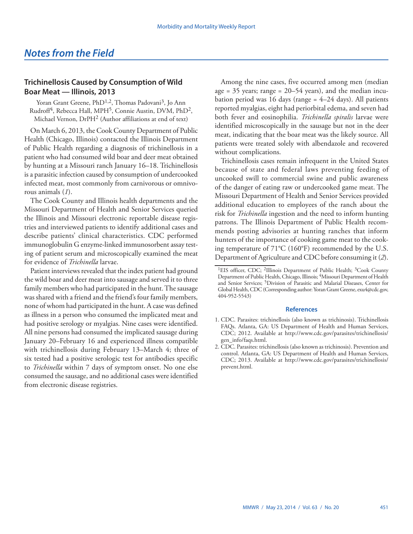# <span id="page-10-0"></span>**Trichinellosis Caused by Consumption of Wild Boar Meat — Illinois, 2013**

Yoran Grant Greene, PhD<sup>1,2</sup>, Thomas Padovani<sup>3</sup>, Jo Ann Rudroff<sup>4</sup>, Rebecca Hall, MPH<sup>5</sup>, Connie Austin, DVM, PhD<sup>2</sup>, Michael Vernon, DrPH2 (Author affiliations at end of text)

On March 6, 2013, the Cook County Department of Public Health (Chicago, Illinois) contacted the Illinois Department of Public Health regarding a diagnosis of trichinellosis in a patient who had consumed wild boar and deer meat obtained by hunting at a Missouri ranch January 16–18. Trichinellosis is a parasitic infection caused by consumption of undercooked infected meat, most commonly from carnivorous or omnivorous animals (*1*).

The Cook County and Illinois health departments and the Missouri Department of Health and Senior Services queried the Illinois and Missouri electronic reportable disease registries and interviewed patients to identify additional cases and describe patients' clinical characteristics. CDC performed immunoglobulin G enzyme-linked immunosorbent assay testing of patient serum and microscopically examined the meat for evidence of *Trichinella* larvae.

Patient interviews revealed that the index patient had ground the wild boar and deer meat into sausage and served it to three family members who had participated in the hunt. The sausage was shared with a friend and the friend's four family members, none of whom had participated in the hunt. A case was defined as illness in a person who consumed the implicated meat and had positive serology or myalgias. Nine cases were identified. All nine persons had consumed the implicated sausage during January 20–February 16 and experienced illness compatible with trichinellosis during February 13–March 4; three of six tested had a positive serologic test for antibodies specific to *Trichinella* within 7 days of symptom onset. No one else consumed the sausage, and no additional cases were identified from electronic disease registries.

Among the nine cases, five occurred among men (median age  $= 35$  years; range  $= 20 - 54$  years), and the median incubation period was 16 days (range  $= 4-24$  days). All patients reported myalgias, eight had periorbital edema, and seven had both fever and eosinophilia. *Trichinella spiralis* larvae were identified microscopically in the sausage but not in the deer meat, indicating that the boar meat was the likely source. All patients were treated solely with albendazole and recovered without complications.

Trichinellosis cases remain infrequent in the United States because of state and federal laws preventing feeding of uncooked swill to commercial swine and public awareness of the danger of eating raw or undercooked game meat. The Missouri Department of Health and Senior Services provided additional education to employees of the ranch about the risk for *Trichinella* ingestion and the need to inform hunting patrons. The Illinois Department of Public Health recommends posting advisories at hunting ranches that inform hunters of the importance of cooking game meat to the cooking temperature of 71°C (160°F) recommended by the U.S. Department of Agriculture and CDC before consuming it (*2*).

#### **References**

- 1. CDC. Parasites: trichinellosis (also known as trichinosis). Trichinellosis FAQs. Atlanta, GA: US Department of Health and Human Services, CDC; 2012. Available at [http://www.cdc.gov/parasites/trichinellosis/](http://www.cdc.gov/parasites/trichinellosis/gen_info/faqs.html) [gen\\_info/faqs.html.](http://www.cdc.gov/parasites/trichinellosis/gen_info/faqs.html)
- 2. CDC. Parasites: trichinellosis (also known as trichinosis). Prevention and control. Atlanta, GA: US Department of Health and Human Services, CDC; 2013. Available at [http://www.cdc.gov/parasites/trichinellosis/](http://www.cdc.gov/parasites/trichinellosis/prevent.html) [prevent.html](http://www.cdc.gov/parasites/trichinellosis/prevent.html).

<sup>&</sup>lt;sup>1</sup>EIS officer, CDC; <sup>2</sup>Illinois Department of Public Health; <sup>3</sup>Cook County Department of Public Health, Chicago, Illinois; 4Missouri Department of Health and Senior Services; 5Division of Parasitic and Malarial Diseases, Center for Global Health, CDC (Corresponding author: Yoran Grant Greene, [exu4@cdc.gov,](mailto:exu4@cdc.gov) 404-952-5543)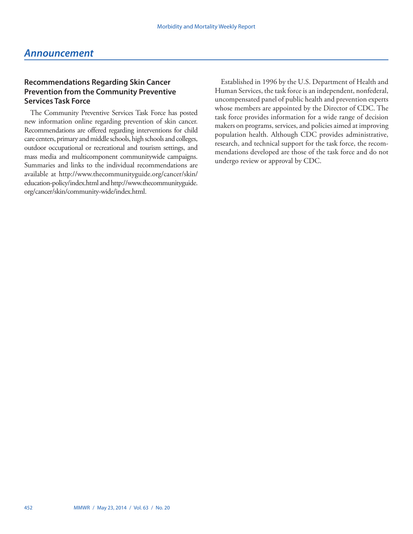# <span id="page-11-0"></span>*Announcement*

# **Recommendations Regarding Skin Cancer Prevention from the Community Preventive Services Task Force**

The Community Preventive Services Task Force has posted new information online regarding prevention of skin cancer. Recommendations are offered regarding interventions for child care centers, primary and middle schools, high schools and colleges, outdoor occupational or recreational and tourism settings, and mass media and multicomponent communitywide campaigns. Summaries and links to the individual recommendations are available at [http://www.thecommunityguide.org/cancer/skin/](http://www.thecommunityguide.org/cancer/skin/education-policy/index.html) [education-policy/index.html](http://www.thecommunityguide.org/cancer/skin/education-policy/index.html) and [http://www.thecommunityguide.](http://www.thecommunityguide.org/cancer/skin/community-wide/index.html) [org/cancer/skin/community-wide/index.html.](http://www.thecommunityguide.org/cancer/skin/community-wide/index.html)

Established in 1996 by the U.S. Department of Health and Human Services, the task force is an independent, nonfederal, uncompensated panel of public health and prevention experts whose members are appointed by the Director of CDC. The task force provides information for a wide range of decision makers on programs, services, and policies aimed at improving population health. Although CDC provides administrative, research, and technical support for the task force, the recommendations developed are those of the task force and do not undergo review or approval by CDC.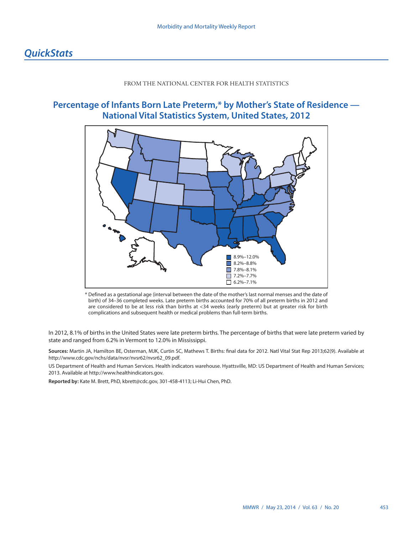## FROM THE NATIONAL CENTER FOR HEALTH STATISTICS

# <span id="page-12-0"></span>**Percentage of Infants Born Late Preterm,\* by Mother's State of Residence — National Vital Statistics System, United States, 2012**



\* Defined as a gestational age (interval between the date of the mother's last normal menses and the date of birth) of 34–36 completed weeks. Late preterm births accounted for 70% of all preterm births in 2012 and are considered to be at less risk than births at <34 weeks (early preterm) but at greater risk for birth complications and subsequent health or medical problems than full-term births.

In 2012, 8.1% of births in the United States were late preterm births. The percentage of births that were late preterm varied by state and ranged from 6.2% in Vermont to 12.0% in Mississippi.

**Sources:** Martin JA, Hamilton BE, Osterman, MJK, Curtin SC, Mathews T. Births: final data for 2012. Natl Vital Stat Rep 2013;62(9). Available at [http://www.cdc.gov/nchs/data/nvsr/nvsr62/nvsr62\\_09.pdf.](http://www.cdc.gov/nchs/data/nvsr/nvsr62/nvsr62_09.pdf)

US Department of Health and Human Services. Health indicators warehouse. Hyattsville, MD: US Department of Health and Human Services; 2013. Available at [http://www.healthindicators.gov.](http://www.healthindicators.gov)

**Reported by:** Kate M. Brett, PhD, [kbrett@cdc.gov](mailto:kbrett@cdc.gov), 301-458-4113; Li-Hui Chen, PhD.